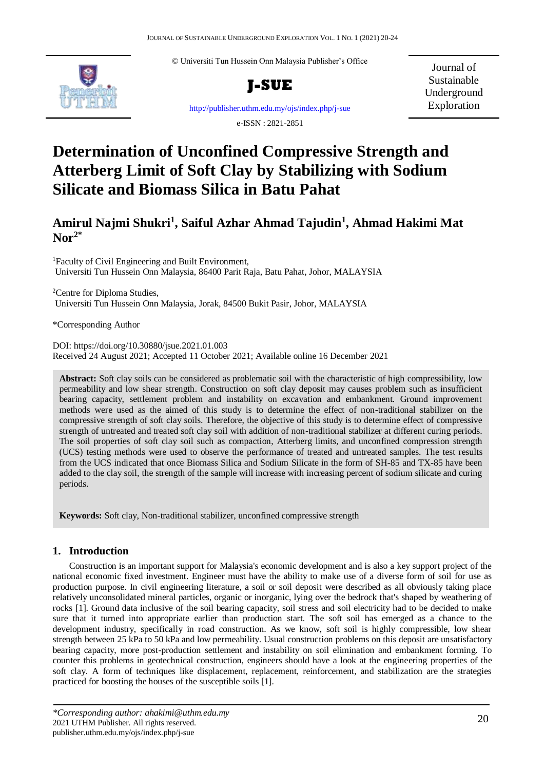© Universiti Tun Hussein Onn Malaysia Publisher's Office



**J-SUE**

Journal of Sustainable Underground Exploration

<http://publisher.uthm.edu.my/ojs/index.php/j-sue>

e-ISSN : 2821-2851

# **Determination of Unconfined Compressive Strength and Atterberg Limit of Soft Clay by Stabilizing with Sodium Silicate and Biomass Silica in Batu Pahat**

# **Amirul Najmi Shukri<sup>1</sup> , Saiful Azhar Ahmad Tajudin<sup>1</sup> , Ahmad Hakimi Mat Nor2\***

<sup>1</sup>Faculty of Civil Engineering and Built Environment, Universiti Tun Hussein Onn Malaysia, 86400 Parit Raja, Batu Pahat, Johor, MALAYSIA

<sup>2</sup>Centre for Diploma Studies, Universiti Tun Hussein Onn Malaysia, Jorak, 84500 Bukit Pasir, Johor, MALAYSIA

\*Corresponding Author

DOI: https://doi.org/10.30880/jsue.2021.01.003 Received 24 August 2021; Accepted 11 October 2021; Available online 16 December 2021

**Abstract:** Soft clay soils can be considered as problematic soil with the characteristic of high compressibility, low permeability and low shear strength. Construction on soft clay deposit may causes problem such as insufficient bearing capacity, settlement problem and instability on excavation and embankment. Ground improvement methods were used as the aimed of this study is to determine the effect of non-traditional stabilizer on the compressive strength of soft clay soils. Therefore, the objective of this study is to determine effect of compressive strength of untreated and treated soft clay soil with addition of non-traditional stabilizer at different curing periods. The soil properties of soft clay soil such as compaction, Atterberg limits, and unconfined compression strength (UCS) testing methods were used to observe the performance of treated and untreated samples. The test results from the UCS indicated that once Biomass Silica and Sodium Silicate in the form of SH-85 and TX-85 have been added to the clay soil, the strength of the sample will increase with increasing percent of sodium silicate and curing periods.

**Keywords:** Soft clay, Non-traditional stabilizer, unconfined compressive strength

## **1. Introduction**

Construction is an important support for Malaysia's economic development and is also a key support project of the national economic fixed investment. Engineer must have the ability to make use of a diverse form of soil for use as production purpose. In civil engineering literature, a soil or soil deposit were described as all obviously taking place relatively unconsolidated mineral particles, organic or inorganic, lying over the bedrock that's shaped by weathering of rocks [1]. Ground data inclusive of the soil bearing capacity, soil stress and soil electricity had to be decided to make sure that it turned into appropriate earlier than production start. The soft soil has emerged as a chance to the development industry, specifically in road construction. As we know, soft soil is highly compressible, low shear strength between 25 kPa to 50 kPa and low permeability. Usual construction problems on this deposit are unsatisfactory bearing capacity, more post-production settlement and instability on soil elimination and embankment forming. To counter this problems in geotechnical construction, engineers should have a look at the engineering properties of the soft clay. A form of techniques like displacement, replacement, reinforcement, and stabilization are the strategies practiced for boosting the houses of the susceptible soils [1].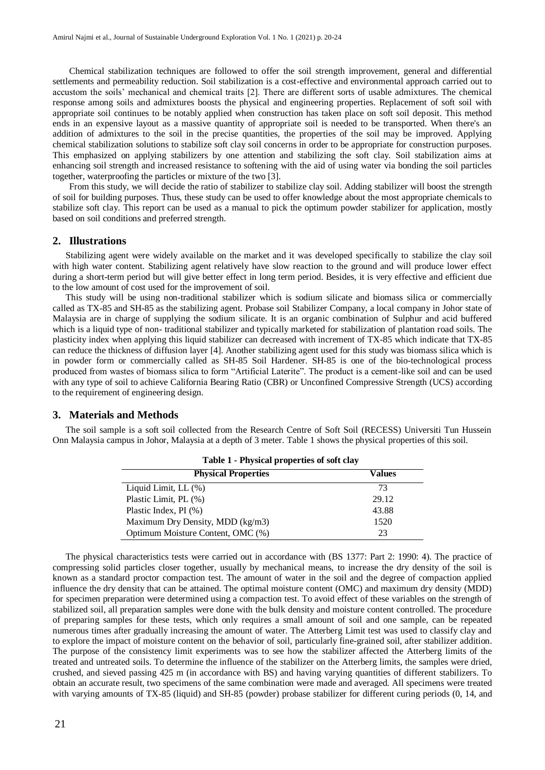Chemical stabilization techniques are followed to offer the soil strength improvement, general and differential settlements and permeability reduction. Soil stabilization is a cost-effective and environmental approach carried out to accustom the soils' mechanical and chemical traits [2]. There are different sorts of usable admixtures. The chemical response among soils and admixtures boosts the physical and engineering properties. Replacement of soft soil with appropriate soil continues to be notably applied when construction has taken place on soft soil deposit. This method ends in an expensive layout as a massive quantity of appropriate soil is needed to be transported. When there's an addition of admixtures to the soil in the precise quantities, the properties of the soil may be improved. Applying chemical stabilization solutions to stabilize soft clay soil concerns in order to be appropriate for construction purposes. This emphasized on applying stabilizers by one attention and stabilizing the soft clay. Soil stabilization aims at enhancing soil strength and increased resistance to softening with the aid of using water via bonding the soil particles together, waterproofing the particles or mixture of the two [3].

From this study, we will decide the ratio of stabilizer to stabilize clay soil. Adding stabilizer will boost the strength of soil for building purposes. Thus, these study can be used to offer knowledge about the most appropriate chemicals to stabilize soft clay. This report can be used as a manual to pick the optimum powder stabilizer for application, mostly based on soil conditions and preferred strength.

#### **2. Illustrations**

Stabilizing agent were widely available on the market and it was developed specifically to stabilize the clay soil with high water content. Stabilizing agent relatively have slow reaction to the ground and will produce lower effect during a short-term period but will give better effect in long term period. Besides, it is very effective and efficient due to the low amount of cost used for the improvement of soil.

This study will be using non-traditional stabilizer which is sodium silicate and biomass silica or commercially called as TX-85 and SH-85 as the stabilizing agent. Probase soil Stabilizer Company, a local company in Johor state of Malaysia are in charge of supplying the sodium silicate. It is an organic combination of Sulphur and acid buffered which is a liquid type of non- traditional stabilizer and typically marketed for stabilization of plantation road soils. The plasticity index when applying this liquid stabilizer can decreased with increment of TX-85 which indicate that TX-85 can reduce the thickness of diffusion layer [4]. Another stabilizing agent used for this study was biomass silica which is in powder form or commercially called as SH-85 Soil Hardener. SH-85 is one of the bio-technological process produced from wastes of biomass silica to form "Artificial Laterite". The product is a cement-like soil and can be used with any type of soil to achieve California Bearing Ratio (CBR) or Unconfined Compressive Strength (UCS) according to the requirement of engineering design.

#### **3. Materials and Methods**

The soil sample is a soft soil collected from the Research Centre of Soft Soil (RECESS) Universiti Tun Hussein Onn Malaysia campus in Johor, Malaysia at a depth of 3 meter. Table 1 shows the physical properties of this soil.

| Table 1 - Physical properties of soft clay |        |
|--------------------------------------------|--------|
| <b>Physical Properties</b>                 | Values |
| Liquid Limit, $LL$ $(\%)$                  | 73     |
| Plastic Limit, PL (%)                      | 29.12  |
| Plastic Index, PI (%)                      | 43.88  |
| Maximum Dry Density, MDD (kg/m3)           | 1520   |
| Optimum Moisture Content, OMC (%)          | 23     |

The physical characteristics tests were carried out in accordance with (BS 1377: Part 2: 1990: 4). The practice of compressing solid particles closer together, usually by mechanical means, to increase the dry density of the soil is known as a standard proctor compaction test. The amount of water in the soil and the degree of compaction applied influence the dry density that can be attained. The optimal moisture content (OMC) and maximum dry density (MDD) for specimen preparation were determined using a compaction test. To avoid effect of these variables on the strength of stabilized soil, all preparation samples were done with the bulk density and moisture content controlled. The procedure of preparing samples for these tests, which only requires a small amount of soil and one sample, can be repeated numerous times after gradually increasing the amount of water. The Atterberg Limit test was used to classify clay and to explore the impact of moisture content on the behavior of soil, particularly fine-grained soil, after stabilizer addition. The purpose of the consistency limit experiments was to see how the stabilizer affected the Atterberg limits of the treated and untreated soils. To determine the influence of the stabilizer on the Atterberg limits, the samples were dried, crushed, and sieved passing 425 m (in accordance with BS) and having varying quantities of different stabilizers. To obtain an accurate result, two specimens of the same combination were made and averaged. All specimens were treated with varying amounts of TX-85 (liquid) and SH-85 (powder) probase stabilizer for different curing periods (0, 14, and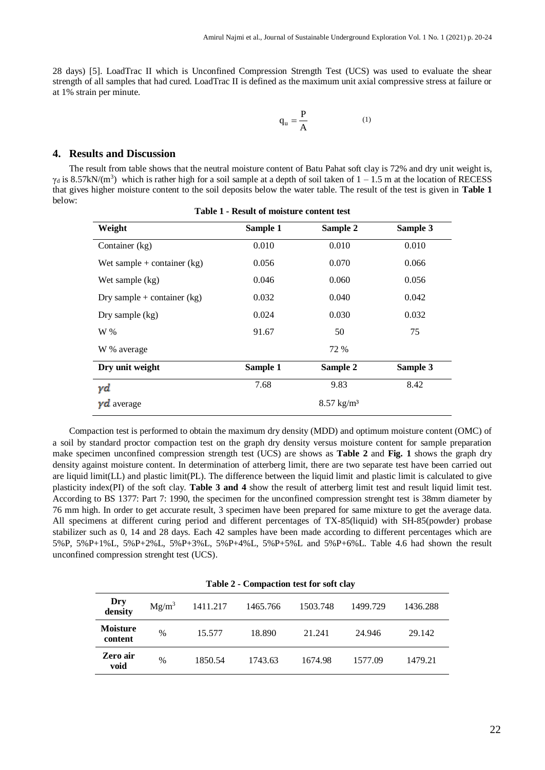28 days) [5]. LoadTrac II which is Unconfined Compression Strength Test (UCS) was used to evaluate the shear strength of all samples that had cured. LoadTrac II is defined as the maximum unit axial compressive stress at failure or at 1% strain per minute.

$$
q_u = \frac{P}{A} \tag{1}
$$

#### **4. Results and Discussion**

The result from table shows that the neutral moisture content of Batu Pahat soft clay is 72% and dry unit weight is,  $\gamma_d$  is 8.57kN/(m<sup>3</sup>) which is rather high for a soil sample at a depth of soil taken of  $1 - 1.5$  m at the location of RECESS that gives higher moisture content to the soil deposits below the water table. The result of the test is given in **Table 1** below:

| Weight                        | Sample 1 | Sample 2              | Sample 3 |
|-------------------------------|----------|-----------------------|----------|
| Container (kg)                | 0.010    | 0.010                 | 0.010    |
| Wet sample $+$ container (kg) | 0.056    | 0.070                 | 0.066    |
| Wet sample (kg)               | 0.046    | 0.060                 | 0.056    |
| Dry sample + container $(kg)$ | 0.032    | 0.040                 | 0.042    |
| Dry sample $(kg)$             | 0.024    | 0.030                 | 0.032    |
| W %                           | 91.67    | 50                    | 75       |
| W % average                   |          | 72 %                  |          |
| Dry unit weight               | Sample 1 | Sample 2              | Sample 3 |
| γd                            | 7.68     | 9.83                  | 8.42     |
| $\gamma d$ average            |          | $8.57 \text{ kg/m}^3$ |          |

**Table 1 - Result of moisture content test**

Compaction test is performed to obtain the maximum dry density (MDD) and optimum moisture content (OMC) of a soil by standard proctor compaction test on the graph dry density versus moisture content for sample preparation make specimen unconfined compression strength test (UCS) are shows as **Table 2** and **Fig. 1** shows the graph dry density against moisture content. In determination of atterberg limit, there are two separate test have been carried out are liquid limit(LL) and plastic limit(PL). The difference between the liquid limit and plastic limit is calculated to give plasticity index(PI) of the soft clay. **Table 3 and 4** show the result of atterberg limit test and result liquid limit test. According to BS 1377: Part 7: 1990, the specimen for the unconfined compression strenght test is 38mm diameter by 76 mm high. In order to get accurate result, 3 specimen have been prepared for same mixture to get the average data. All specimens at different curing period and different percentages of TX-85(liquid) with SH-85(powder) probase stabilizer such as 0, 14 and 28 days. Each 42 samples have been made according to different percentages which are 5%P, 5%P+1%L, 5%P+2%L, 5%P+3%L, 5%P+4%L, 5%P+5%L and 5%P+6%L. Table 4.6 had shown the result unconfined compression strenght test (UCS).

|                            | <b>Table 2 - Compaction test for soft clay</b> |          |          |          |          |          |
|----------------------------|------------------------------------------------|----------|----------|----------|----------|----------|
| Dry<br>density             | $Mg/m^3$                                       | 1411.217 | 1465.766 | 1503.748 | 1499.729 | 1436.288 |
| <b>Moisture</b><br>content | $\%$                                           | 15.577   | 18.890   | 21.241   | 24.946   | 29.142   |
| Zero air<br>void           | %                                              | 1850.54  | 1743.63  | 1674.98  | 1577.09  | 1479.21  |

**Table 2 - Compaction test for soft clay**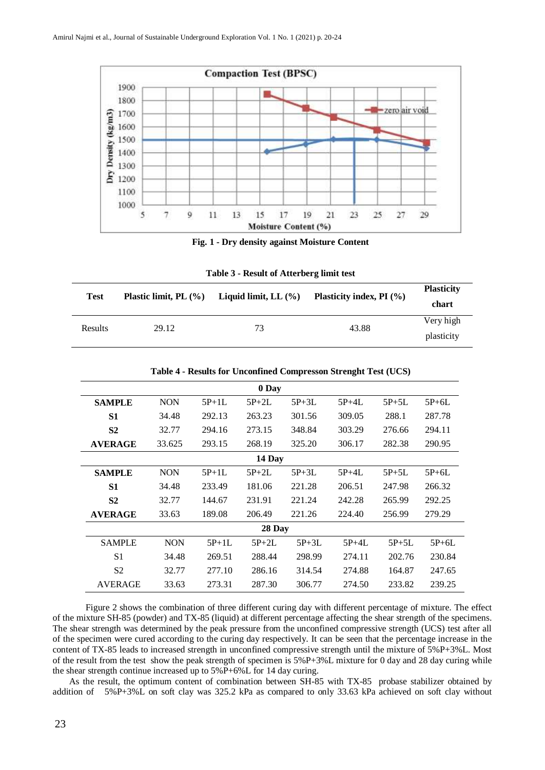

**Fig. 1 - Dry density against Moisture Content**

| <b>Test</b> | Plastic limit, PL $(\% )$ | Liquid limit, LL $(\% )$ | Plasticity index, PI $(\% )$ | <b>Plasticity</b><br>chart |
|-------------|---------------------------|--------------------------|------------------------------|----------------------------|
| Results     | 29.12                     | 73                       | 43.88                        | Very high                  |
|             |                           |                          |                              | plasticity                 |

**Table 3 - Result of Atterberg limit test**

|                | 0 Day      |         |         |         |         |           |         |
|----------------|------------|---------|---------|---------|---------|-----------|---------|
| <b>SAMPLE</b>  | <b>NON</b> | $5P+1L$ | $5P+2L$ | $5P+3L$ | $5P+4L$ | $5P+5L$   | $5P+6L$ |
| S1             | 34.48      | 292.13  | 263.23  | 301.56  | 309.05  | 288.1     | 287.78  |
| S <sub>2</sub> | 32.77      | 294.16  | 273.15  | 348.84  | 303.29  | 276.66    | 294.11  |
| <b>AVERAGE</b> | 33.625     | 293.15  | 268.19  | 325.20  | 306.17  | 282.38    | 290.95  |
|                | 14 Day     |         |         |         |         |           |         |
| <b>SAMPLE</b>  | <b>NON</b> | $5P+1L$ | $5P+2L$ | $5P+3L$ | $5P+4L$ | $5P + 5L$ | $5P+6L$ |
| S1             | 34.48      | 233.49  | 181.06  | 221.28  | 206.51  | 247.98    | 266.32  |
| S <sub>2</sub> | 32.77      | 144.67  | 231.91  | 221.24  | 242.28  | 265.99    | 292.25  |
| <b>AVERAGE</b> | 33.63      | 189.08  | 206.49  | 221.26  | 224.40  | 256.99    | 279.29  |
|                | 28 Day     |         |         |         |         |           |         |
| <b>SAMPLE</b>  | <b>NON</b> | $5P+1L$ | $5P+2L$ | $5P+3L$ | $5P+4L$ | $5P+5L$   | $5P+6L$ |
| S <sub>1</sub> | 34.48      | 269.51  | 288.44  | 298.99  | 274.11  | 202.76    | 230.84  |
| S <sub>2</sub> | 32.77      | 277.10  | 286.16  | 314.54  | 274.88  | 164.87    | 247.65  |
| <b>AVERAGE</b> | 33.63      | 273.31  | 287.30  | 306.77  | 274.50  | 233.82    | 239.25  |

**Table 4 - Results for Unconfined Compresson Strenght Test (UCS)**

Figure 2 shows the combination of three different curing day with different percentage of mixture. The effect of the mixture SH-85 (powder) and TX-85 (liquid) at different percentage affecting the shear strength of the specimens. The shear strength was determined by the peak pressure from the unconfined compressive strength (UCS) test after all of the specimen were cured according to the curing day respectively. It can be seen that the percentage increase in the content of TX-85 leads to increased strength in unconfined compressive strength until the mixture of 5%P+3%L. Most of the result from the test show the peak strength of specimen is 5%P+3%L mixture for 0 day and 28 day curing while the shear strength continue increased up to 5%P+6%L for 14 day curing.

As the result, the optimum content of combination between SH-85 with TX-85 probase stabilizer obtained by addition of 5%P+3%L on soft clay was 325.2 kPa as compared to only 33.63 kPa achieved on soft clay without